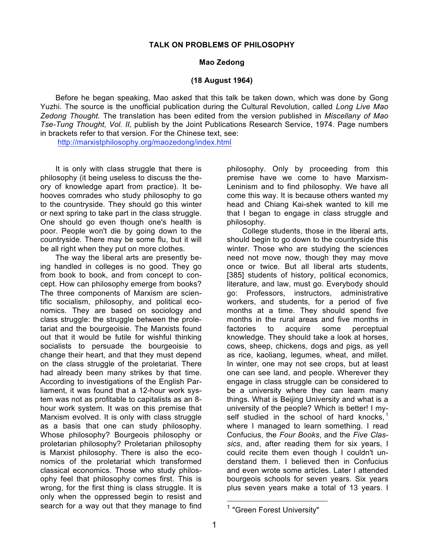## **TALK ON PROBLEMS OF PHILOSOPHY**

## **Mao Zedong**

## **(18 August 1964)**

Before he began speaking, Mao asked that this talk be taken down, which was done by Gong Yuzhi. The source is the unofficial publication during the Cultural Revolution, called *Long Live Mao Zedong Thought.* The translation has been edited from the version published in *Miscellany of Mao Tse-Tung Thought, Vol. II,* publish by the Joint Publications Research Service, 1974. Page numbers in brackets refer to that version. For the Chinese text, see:

http://marxistphilosophy.org/maozedong/index.html

It is only with class struggle that there is philosophy (it being useless to discuss the theory of knowledge apart from practice). It behooves comrades who study philosophy to go to the countryside. They should go this winter or next spring to take part in the class struggle. One should go even though one's health is poor. People won't die by going down to the countryside. There may be some flu, but it will be all right when they put on more clothes.

The way the liberal arts are presently being handled in colleges is no good. They go from book to book, and from concept to concept. How can philosophy emerge from books? The three components of Marxism are scientific socialism, philosophy, and political economics. They are based on sociology and class struggle: the struggle between the proletariat and the bourgeoisie. The Marxists found out that it would be futile for wishful thinking socialists to persuade the bourgeoisie to change their heart, and that they must depend on the class struggle of the proletariat. There had already been many strikes by that time. According to investigations of the English Parliament, it was found that a 12-hour work system was not as profitable to capitalists as an 8 hour work system. It was on this premise that Marxism evolved. It is only with class struggle as a basis that one can study philosophy. Whose philosophy? Bourgeois philosophy or proletarian philosophy? Proletarian philosophy is Marxist philosophy. There is also the economics of the proletariat which transformed classical economics. Those who study philosophy feel that philosophy comes first. This is wrong, for the first thing is class struggle. It is only when the oppressed begin to resist and search for a way out that they manage to find

philosophy. Only by proceeding from this premise have we come to have Marxism-Leninism and to find philosophy. We have all come this way. It is because others wanted my head and Chiang Kai-shek wanted to kill me that I began to engage in class struggle and philosophy.

College students, those in the liberal arts, should begin to go down to the countryside this winter. Those who are studying the sciences need not move now, though they may move once or twice. But all liberal arts students, [385] students of history, political economics, literature, and law, must go. Everybody should go: Professors, instructors, administrative workers, and students, for a period of five months at a time. They should spend five months in the rural areas and five months in factories to acquire some perceptual knowledge. They should take a look at horses, cows, sheep, chickens, dogs and pigs, as yell as rice, kaoliang, legumes, wheat, and millet. In winter, one may not see crops, but at least one can see land, and people. Wherever they engage in class struggle can be considered to be a university where they can learn many things. What is Beijing University and what is a university of the people? Which is better! I myself studied in the school of hard knocks,  $1$ where I managed to learn something. I read Confucius, the *Four Books*, and the *Five Classics*, and, after reading them for six years, I could recite them even though I couldn't understand them. I believed then in Confucius and even wrote some articles. Later I attended bourgeois schools for seven years. Six years plus seven years make a total of 13 years. I

 <sup>1</sup> "Green Forest University"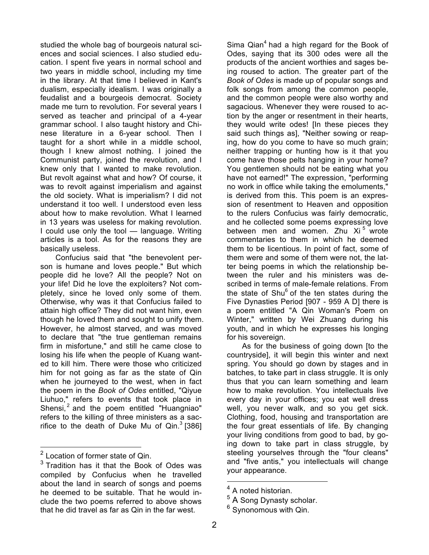studied the whole bag of bourgeois natural sciences and social sciences. I also studied education. I spent five years in normal school and two years in middle school, including my time in the library. At that time I believed in Kant's dualism, especially idealism. I was originally a feudalist and a bourgeois democrat. Society made me turn to revolution. For several years I served as teacher and principal of a 4-year grammar school. I also taught history and Chinese literature in a 6-year school. Then I taught for a short while in a middle school, though I knew almost nothing. I joined the Communist party, joined the revolution, and I knew only that I wanted to make revolution. But revolt against what and how? Of course, it was to revolt against imperialism and against the old society. What is imperialism? I did not understand it too well. I understood even less about how to make revolution. What I learned in 13 years was useless for making revolution. I could use only the tool — language. Writing articles is a tool. As for the reasons they are basically useless.

Confucius said that "the benevolent person is humane and loves people." But which people did he love? All the people? Not on your life! Did he love the exploiters? Not completely, since he loved only some of them. Otherwise, why was it that Confucius failed to attain high office? They did not want him, even though he loved them and sought to unify them. However, he almost starved, and was moved to declare that "the true gentleman remains firm in misfortune," and still he came close to losing his life when the people of Kuang wanted to kill him. There were those who criticized him for not going as far as the state of Qin when he journeyed to the west, when in fact the poem in the *Book of Odes* entitled, "Qiyue Liuhuo," refers to events that took place in Shensi, $<sup>2</sup>$  and the poem entitled "Huangniao"</sup> refers to the killing of three ministers as a sacrifice to the death of Duke Mu of  $Qin.^3$  [386]

Sima Qian<sup>4</sup> had a high regard for the Book of Odes, saying that its 300 odes were all the products of the ancient worthies and sages being roused to action. The greater part of the *Book of Odes* is made up of popular songs and folk songs from among the common people, and the common people were also worthy and sagacious. Whenever they were roused to action by the anger or resentment in their hearts, they would write odes! [In these pieces they said such things as], "Neither sowing or reaping, how do you come to have so much grain; neither trapping or hunting how is it that you come have those pelts hanging in your home? You gentlemen should not be eating what you have not earned!" The expression, "performing no work in office while taking the emoluments," is derived from this. This poem is an expression of resentment to Heaven and opposition to the rulers Confucius was fairly democratic, and he collected some poems expressing love between men and women. Zhu Xi<sup>5</sup> wrote commentaries to them in which he deemed them to be licentious. In point of fact, some of them were and some of them were not, the latter being poems in which the relationship between the ruler and his ministers was described in terms of male-female relations. From the state of  $Shu<sup>6</sup>$  of the ten states during the Five Dynasties Period [907 - 959 A D] there is a poem entitled "A Qin Woman's Poem on Winter," written by Wei Zhuang during his youth, and in which he expresses his longing for his sovereign.

As for the business of going down [to the countryside], it will begin this winter and next spring. You should go down by stages and in batches, to take part in class struggle. It is only thus that you can learn something and learn how to make revolution. You intellectuals live every day in your offices; you eat well dress well, you never walk, and so you get sick. Clothing, food, housing and transportation are the four great essentials of life. By changing your living conditions from good to bad, by going down to take part in class struggle, by steeling yourselves through the "four cleans" and "five antis," you intellectuals will change your appearance.

<sup>&</sup>lt;sup>2</sup> Location of former state of Qin.<br> $3$  Tradition has it that the Book of Odes was compiled by Confucius when he travelled about the land in search of songs and poems he deemed to be suitable. That he would include the two poems referred to above shows that he did travel as far as Qin in the far west.

 $^4$  A noted historian.<br><sup>5</sup> A Song Dynasty scholar.<br><sup>6</sup> Synonomous with Qin.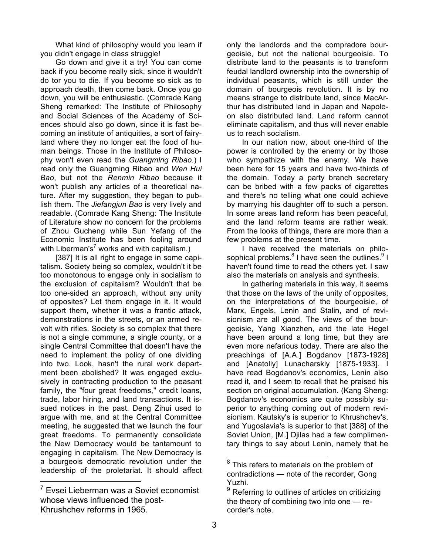What kind of philosophy would you learn if you didn't engage in class struggle!

Go down and give it a try! You can come back if you become really sick, since it wouldn't do tor you to die. If you become so sick as to approach death, then come back. Once you go down, you will be enthusiastic. (Comrade Kang Sheng remarked: The Institute of Philosophy and Social Sciences of the Academy of Sciences should also go down, since it is fast becoming an institute of antiquities, a sort of fairyland where they no longer eat the food of human beings. Those in the Institute of Philosophy won't even read the *Guangmlng Ribao.*) I read only the Guangming Ribao and *Wen Hui Bao*, but not the *Renmin Ribao* because it won't publish any articles of a theoretical nature. After my suggestion, they began to publish them. The *Jiefangjun Bao* is very lively and readable. (Comrade Kang Sheng: The Institute of Literature show no concern for the problems of Zhou Gucheng while Sun Yefang of the Economic Institute has been fooling around with Liberman's<sup>7</sup> works and with capitalism.)

[387] It is all right to engage in some capitalism. Society being so complex, wouldn't it be too monotonous to engage only in socialism to the exclusion of capitalism? Wouldn't that be too one-sided an approach, without any unity of opposites? Let them engage in it. It would support them, whether it was a frantic attack, demonstrations in the streets, or an armed revolt with rifles. Society is so complex that there is not a single commune, a single county, or a single Central Committee that doesn't have the need to implement the policy of one dividing into two. Look, hasn't the rural work department been abolished? It was engaged exclusively in contracting production to the peasant family, the "four great freedoms," credit loans, trade, labor hiring, and land transactions. It issued notices in the past. Deng Zihui used to argue with me, and at the Central Committee meeting, he suggested that we launch the four great freedoms. To permanently consolidate the New Democracy would be tantamount to engaging in capitalism. The New Democracy is a bourgeois democratic revolution under the leadership of the proletariat. It should affect only the landlords and the compradore bourgeoisie, but not the national bourgeoisie. To distribute land to the peasants is to transform feudal landlord ownership into the ownership of individual peasants, which is still under the domain of bourgeois revolution. It is by no means strange to distribute land, since MacArthur has distributed land in Japan and Napoleon also distributed land. Land reform cannot eliminate capitalism, and thus will never enable us to reach socialism.

In our nation now, about one-third of the power is controlled by the enemy or by those who sympathize with the enemy. We have been here for 15 years and have two-thirds of the domain. Today a party branch secretary can be bribed with a few packs of cigarettes and there's no telling what one could achieve by marrying his daughter off to such a person. In some areas land reform has been peaceful, and the land reform teams are rather weak. From the looks of things, there are more than a few problems at the present time.

I have received the materials on philosophical problems.<sup>8</sup> I have seen the outlines.<sup>9</sup> I haven't found time to read the others yet. I saw also the materials on analysis and synthesis.

In gathering materials in this way, it seems that those on the laws of the unity of opposites, on the interpretations of the bourgeoisie, of Marx, Engels, Lenin and Stalin, and of revisionism are all good. The views of the bourgeoisie, Yang Xianzhen, and the late Hegel have been around a long time, but they are even more nefarious today. There are also the preachings of [A.A.] Bogdanov [1873-1928] and [Anatoliy] Lunacharskiy [1875-1933]. I have read Bogdanov's economics, Lenin also read it, and I seem to recall that he praised his section on original accumulation. (Kang Sheng: Bogdanov's economics are quite possibly superior to anything coming out of modern revisionism. Kautsky's is superior to Khrushchev's, and Yugoslavia's is superior to that [388] of the Soviet Union, [M.] Djilas had a few complimentary things to say about Lenin, namely that he

 $7$  Evsei Lieberman was a Soviet economist whose views influenced the post-Khrushchev reforms in 1965.

 $8$  This refers to materials on the problem of contradictions — note of the recorder, Gong Yuzhi.

Referring to outlines of articles on criticizing the theory of combining two into one — recorder's note.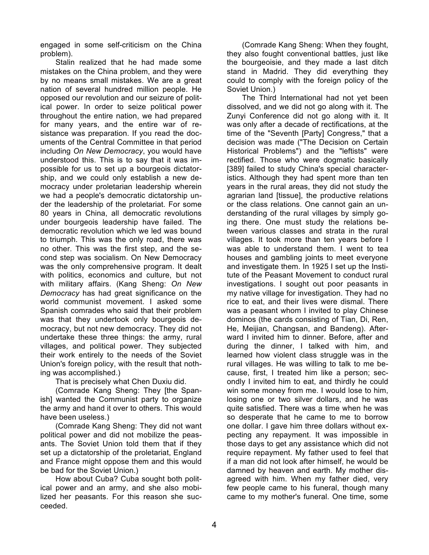engaged in some self-criticism on the China problem).

Stalin realized that he had made some mistakes on the China problem, and they were by no means small mistakes. We are a great nation of several hundred million people. He opposed our revolution and our seizure of political power. In order to seize political power throughout the entire nation, we had prepared for many years, and the entire war of resistance was preparation. If you read the documents of the Central Committee in that period including *On New Democracy*, you would have understood this. This is to say that it was impossible for us to set up a bourgeois dictatorship, and we could only establish a new democracy under proletarian leadership wherein we had a people's democratic dictatorship under the leadership of the proletariat. For some 80 years in China, all democratic revolutions under bourgeois leadership have failed. The democratic revolution which we led was bound to triumph. This was the only road, there was no other. This was the first step, and the second step was socialism. On New Democracy was the only comprehensive program. It dealt with politics, economics and culture, but not with military affairs. (Kang Sheng: *On New Democracy* has had great significance on the world communist movement. I asked some Spanish comrades who said that their problem was that they undertook only bourgeois democracy, but not new democracy. They did not undertake these three things: the army, rural villages, and political power. They subjected their work entirely to the needs of the Soviet Union's foreign policy, with the result that nothing was accomplished.)

That is precisely what Chen Duxiu did.

(Comrade Kang Sheng: They [the Spanish] wanted the Communist party to organize the army and hand it over to others. This would have been useless.)

(Comrade Kang Sheng: They did not want political power and did not mobilize the peasants. The Soviet Union told them that if they set up a dictatorship of the proletariat, England and France might oppose them and this would be bad for the Soviet Union.)

How about Cuba? Cuba sought both political power and an army, and she also mobilized her peasants. For this reason she succeeded.

(Comrade Kang Sheng: When they fought, they also fought conventional battles, just like the bourgeoisie, and they made a last ditch stand in Madrid. They did everything they could to comply with the foreign policy of the Soviet Union.)

The Third International had not yet been dissolved, and we did not go along with it. The Zunyi Conference did not go along with it. It was only after a decade of rectifications, at the time of the "Seventh [Party] Congress," that a decision was made ("The Decision on Certain Historical Problems") and the "leftists" were rectified. Those who were dogmatic basically [389] failed to study China's special characteristics. Although they had spent more than ten years in the rural areas, they did not study the agrarian land [tissue], the productive relations or the class relations. One cannot gain an understanding of the rural villages by simply going there. One must study the relations between various classes and strata in the rural villages. It took more than ten years before I was able to understand them. I went to tea houses and gambling joints to meet everyone and investigate them. In 1925 I set up the Institute of the Peasant Movement to conduct rural investigations. I sought out poor peasants in my native village for investigation. They had no rice to eat, and their lives were dismal. There was a peasant whom I invited to play Chinese dominos (the cards consisting of Tian, Di, Ren, He, Meijian, Changsan, and Bandeng). Afterward I invited him to dinner. Before, after and during the dinner, I talked with him, and learned how violent class struggle was in the rural villages. He was willing to talk to me because, first, I treated him like a person; secondly I invited him to eat, and thirdly he could win some money from me. I would lose to him, losing one or two silver dollars, and he was quite satisfied. There was a time when he was so desperate that he came to me to borrow one dollar. I gave him three dollars without expecting any repayment. It was impossible in those days to get any assistance which did not require repayment. My father used to feel that if a man did not look after himself, he would be damned by heaven and earth. My mother disagreed with him. When my father died, very few people came to his funeral, though many came to my mother's funeral. One time, some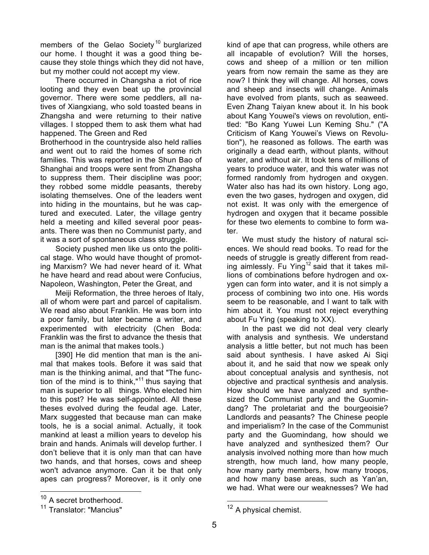members of the Gelao Society<sup>10</sup> burglarized our home. I thought it was a good thing because they stole things which they did not have, but my mother could not accept my view.

There occurred in Changsha a riot of rice looting and they even beat up the provincial governor. There were some peddlers, all natives of Xiangxiang, who sold toasted beans in Zhangsha and were returning to their native villages. I stopped them to ask them what had happened. The Green and Red

Brotherhood in the countryside also held rallies and went out to raid the homes of some rich families. This was reported in the Shun Bao of Shanghai and troops were sent from Zhangsha to suppress them. Their discipline was poor; they robbed some middle peasants, thereby isolating themselves. One of the leaders went into hiding in the mountains, but he was captured and executed. Later, the village gentry held a meeting and killed several poor peasants. There was then no Communist party, and it was a sort of spontaneous class struggle.

Society pushed men like us onto the political stage. Who would have thought of promoting Marxism? We had never heard of it. What he have heard and read about were Confucius, Napoleon, Washington, Peter the Great, and

Meiji Reformation, the three heroes of Italy, all of whom were part and parcel of capitalism. We read also about Franklin. He was born into a poor family, but later became a writer, and experimented with electricity (Chen Boda: Franklin was the first to advance the thesis that man is the animal that makes tools.)

[390] He did mention that man is the animal that makes tools. Before it was said that man is the thinking animal, and that "The function of the mind is to think," $11$  thus saying that man is superior to all things. Who elected him to this post? He was self-appointed. All these theses evolved during the feudal age. Later, Marx suggested that because man can make tools, he is a social animal. Actually, it took mankind at least a million years to develop his brain and hands. Animals will develop further. I don't believe that it is only man that can have two hands, and that horses, cows and sheep won't advance anymore. Can it be that only apes can progress? Moreover, is it only one

kind of ape that can progress, while others are all incapable of evolution? Will the horses, cows and sheep of a million or ten million years from now remain the same as they are now? I think they will change. All horses, cows and sheep and insects will change. Animals have evolved from plants, such as seaweed. Even Zhang Taiyan knew about it. In his book about Kang Youwei's views on revolution, entitled: "Bo Kang Yuwei Lun Keming Shu." ("A Criticism of Kang Youwei's Views on Revolution"), he reasoned as follows. The earth was originally a dead earth, without plants, without water, and without air. It took tens of millions of years to produce water, and this water was not formed randomly from hydrogen and oxygen. Water also has had its own history. Long ago, even the two gases, hydrogen and oxygen, did not exist. It was only with the emergence of hydrogen and oxygen that it became possible for these two elements to combine to form water.

We must study the history of natural sciences. We should read books. To read for the needs of struggle is greatly different from reading aimlessly. Fu Ying<sup>12</sup> said that it takes millions of combinations before hydrogen and oxygen can form into water, and it is not simply a process of combining two into one. His words seem to be reasonable, and I want to talk with him about it. You must not reject everything about Fu Ying (speaking to XX).

In the past we did not deal very clearly with analysis and synthesis. We understand analysis a little better, but not much has been said about synthesis. I have asked Ai Siqi about it, and he said that now we speak only about conceptual analysis and synthesis, not objective and practical synthesis and analysis. How should we have analyzed and synthesized the Communist party and the Guomindang? The proletariat and the bourgeoisie? Landlords and peasants? The Chinese people and imperialism? In the case of the Communist party and the Guomindang, how should we have analyzed and synthesized them? Our analysis involved nothing more than how much strength, how much land, how many people, how many party members, how many troops, and how many base areas, such as Yan'an, we had. What were our weaknesses? We had

 $10<sup>10</sup>$  A secret brotherhood.<br> $11$  Translator: "Mancius"

<sup>&</sup>lt;sup>12</sup> A physical chemist.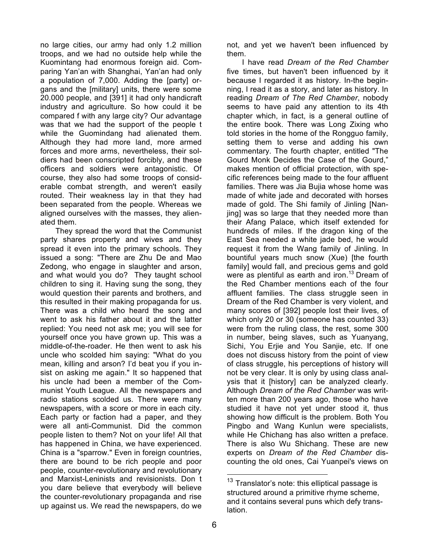no large cities, our army had only 1.2 million troops, and we had no outside help while the Kuomintang had enormous foreign aid. Comparing Yan'an with Shanghai, Yan'an had only a population of 7,000. Adding the [party] organs and the [military] units, there were some 20.000 people, and [391] it had only handicraft industry and agriculture. So how could it be compared f with any large city? Our advantage was that we had the support of the people t while the Guomindang had alienated them. Although they had more land, more armed forces and more arms, nevertheless, their soldiers had been conscripted forcibly, and these officers and soldiers were antagonistic. Of course, they also had some troops of considerable combat strength, and weren't easily routed. Their weakness lay in that they had been separated from the people. Whereas we aligned ourselves with the masses, they alienated them.

They spread the word that the Communist party shares property and wives and they spread it even into the primary schools. They issued a song: "There are Zhu De and Mao Zedong, who engage in slaughter and arson, and what would you do? They taught school children to sing it. Having sung the song, they would question their parents and brothers, and this resulted in their making propaganda for us. There was a child who heard the song and went to ask his father about it and the latter replied: You need not ask me; you will see for yourself once you have grown up. This was a middle-of-the-roader. He then went to ask his uncle who scolded him saying: "What do you mean, killing and arson? I'd beat you if you insist on asking me again." It so happened that his uncle had been a member of the Communist Youth League. All the newspapers and radio stations scolded us. There were many newspapers, with a score or more in each city. Each party or faction had a paper, and they were all anti-Communist. Did the common people listen to them? Not on your life! All that has happened in China, we have experienced. China is a "sparrow." Even in foreign countries, there are bound to be rich people and poor people, counter-revolutionary and revolutionary and Marxist-Leninists and revisionists. Don t you dare believe that everybody will believe the counter-revolutionary propaganda and rise up against us. We read the newspapers, do we

not, and yet we haven't been influenced by them.

I have read *Dream of the Red Chamber* five times, but haven't been influenced by it because I regarded it as history. In-the beginning, I read it as a story, and later as history. In reading *Dream of The Red Chamber*, nobody seems to have paid any attention to its 4th chapter which, in fact, is a general outline of the entire book. There was Long Zixing who told stories in the home of the Rongguo family, setting them to verse and adding his own commentary. The fourth chapter, entitled "The Gourd Monk Decides the Case of the Gourd," makes mention of official protection, with specific references being made to the four affluent families. There was Jia Bujia whose home was made of white jade and decorated with horses made of gold. The Shi family of Jinling [Nanjing] was so large that they needed more than their Afang Palace, which itself extended for hundreds of miles. If the dragon king of the East Sea needed a white jade bed, he would request it from the Wang family of Jinling. In bountiful years much snow (Xue) [the fourth family] would fall, and precious gems and gold were as plentiful as earth and iron.<sup>13</sup> Dream of the Red Chamber mentions each of the four affluent families. The class struggle seen in Dream of the Red Chamber is very violent, and many scores of [392] people lost their lives, of which only 20 or 30 (someone has counted 33) were from the ruling class, the rest, some 300 in number, being slaves, such as Yuanyang, Sichi, You Erjie and You Sanjie, etc. If one does not discuss history from the point of view of class struggle, his perceptions of history will not be very clear. It is only by using class analysis that it [history] can be analyzed clearly. Although *Dream of the Red Chamber* was written more than 200 years ago, those who have studied it have not yet under stood it, thus showing how difficult is the problem. Both You Pingbo and Wang Kunlun were specialists, while He Chichang has also written a preface. There is also Wu Shichang. These are new experts on *Dream of the Red Chamber* discounting the old ones, Cai Yuanpei's views on

 $13$  Translator's note: this elliptical passage is structured around a primitive rhyme scheme, and it contains several puns which defy translation.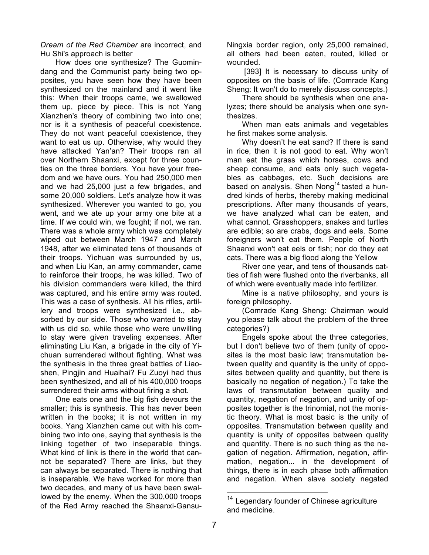*Dream of the Red Chamber* are incorrect, and Hu Shi's approach is better

How does one synthesize? The Guomindang and the Communist party being two opposites, you have seen how they have been synthesized on the mainland and it went like this: When their troops came, we swallowed them up, piece by piece. This is not Yang Xianzhen's theory of combining two into one; nor is it a synthesis of peaceful coexistence. They do not want peaceful coexistence, they want to eat us up. Otherwise, why would they have attacked Yan'an? Their troops ran all over Northern Shaanxi, except for three counties on the three borders. You have your freedom and we have ours. You had 250,000 men and we had 25,000 just a few brigades, and some 20,000 soldiers. Let's analyze how it was synthesized. Wherever you wanted to go, you went, and we ate up your army one bite at a time. If we could win, we fought; if not, we ran. There was a whole army which was completely wiped out between March 1947 and March 1948, after we eliminated tens of thousands of their troops. Yichuan was surrounded by us, and when Liu Kan, an army commander, came to reinforce their troops, he was killed. Two of his division commanders were killed, the third was captured, and his entire army was routed. This was a case of synthesis. All his rifles, artillery and troops were synthesized i.e., absorbed by our side. Those who wanted to stay with us did so, while those who were unwilling to stay were given traveling expenses. After eliminating Liu Kan, a brigade in the city of Yichuan surrendered without fighting. What was the synthesis in the three great battles of Liaoshen, Pingjin and Huaihai? Fu Zuoyi had thus been synthesized, and all of his 400,000 troops surrendered their arms without firing a shot.

One eats one and the big fish devours the smaller; this is synthesis. This has never been written in the books; it is not written in my books. Yang Xianzhen came out with his combining two into one, saying that synthesis is the linking together of two inseparable things. What kind of link is there in the world that cannot be separated? There are links, but they can always be separated. There is nothing that is inseparable. We have worked for more than two decades, and many of us have been swallowed by the enemy. When the 300,000 troops of the Red Army reached the Shaanxi-GansuNingxia border region, only 25,000 remained, all others had been eaten, routed, killed or wounded.

[393] It is necessary to discuss unity of opposites on the basis of life. (Comrade Kang Sheng: It won't do to merely discuss concepts.)

There should be synthesis when one analyzes; there should be analysis when one synthesizes.

When man eats animals and vegetables he first makes some analysis.

Why doesn't he eat sand? If there is sand in rice, then it is not good to eat. Why won't man eat the grass which horses, cows and sheep consume, and eats only such vegetables as cabbages, etc. Such decisions are based on analysis. Shen Nong<sup>14</sup> tasted a hundred kinds of herbs, thereby making medicinal prescriptions. After many thousands of years, we have analyzed what can be eaten, and what cannot. Grasshoppers, snakes and turtles are edible; so are crabs, dogs and eels. Some foreigners won't eat them. People of North Shaanxi won't eat eels or fish; nor do they eat cats. There was a big flood along the Yellow

River one year, and tens of thousands catties of fish were flushed onto the riverbanks, all of which were eventually made into fertilizer.

Mine is a native philosophy, and yours is foreign philosophy.

(Comrade Kang Sheng: Chairman would you please talk about the problem of the three categories?)

Engels spoke about the three categories, but I don't believe two of them (unity of opposites is the most basic law; transmutation between quality and quantity is the unity of opposites between quality and quantity, but there is basically no negation of negation.) To take the laws of transmutation between quality and quantity, negation of negation, and unity of opposites together is the trinomial, not the monistic theory. What is most basic is the unity of opposites. Transmutation between quality and quantity is unity of opposites between quality and quantity. There is no such thing as the negation of negation. Affirmation, negation, affirmation, negation... in the development of things, there is in each phase both affirmation and negation. When slave society negated

<sup>&</sup>lt;sup>14</sup> Legendary founder of Chinese agriculture and medicine.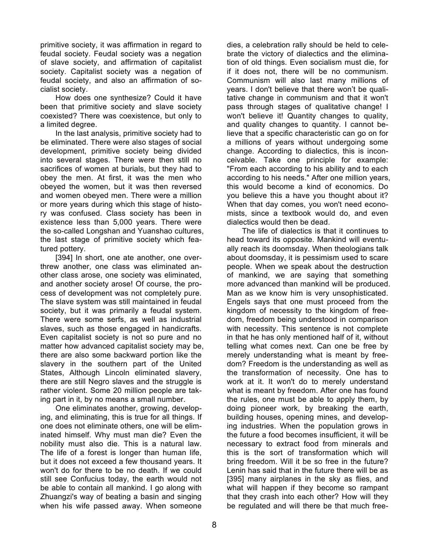primitive society, it was affirmation in regard to feudal society. Feudal society was a negation of slave society, and affirmation of capitalist society. Capitalist society was a negation of feudal society, and also an affirmation of socialist society.

How does one synthesize? Could it have been that primitive society and slave society coexisted? There was coexistence, but only to a limited degree.

In the last analysis, primitive society had to be eliminated. There were also stages of social development, primitive society being divided into several stages. There were then still no sacrifices of women at burials, but they had to obey the men. At first, it was the men who obeyed the women, but it was then reversed and women obeyed men. There were a million or more years during which this stage of history was confused. Class society has been in existence less than 5,000 years. There were the so-called Longshan and Yuanshao cultures, the last stage of primitive society which featured pottery.

[394] In short, one ate another, one overthrew another, one class was eliminated another class arose, one society was eliminated, and another society arose! Of course, the process of development was not completely pure. The slave system was still maintained in feudal society, but it was primarily a feudal system. There were some serfs, as well as industrial slaves, such as those engaged in handicrafts. Even capitalist society is not so pure and no matter how advanced capitalist society may be, there are also some backward portion like the slavery in the southern part of the United States, Although Lincoln eliminated slavery, there are still Negro slaves and the struggle is rather violent. Some 20 million people are taking part in it, by no means a small number.

One eliminates another, growing, developing, and eliminating, this is true for all things. If one does not eliminate others, one will be eliminated himself. Why must man die? Even the nobility must also die. This is a natural law. The life of a forest is longer than human life, but it does not exceed a few thousand years. It won't do for there to be no death. If we could still see Confucius today, the earth would not be able to contain all mankind. I go along with Zhuangzi's way of beating a basin and singing when his wife passed away. When someone

dies, a celebration rally should be held to celebrate the victory of dialectics and the elimination of old things. Even socialism must die, for if it does not, there will be no communism. Communism will also last many millions of years. I don't believe that there won't be qualitative change in communism and that it won't pass through stages of qualitative change! I won't believe it! Quantity changes to quality, and quality changes to quantity. I cannot believe that a specific characteristic can go on for a millions of years without undergoing some change. According to dialectics, this is inconceivable. Take one principle for example: "From each according to his ability and to each according to his needs." After one million years, this would become a kind of economics. Do you believe this a have you thought about it? When that day comes, you won't need economists, since a textbook would do, and even dialectics would then be dead.

The life of dialectics is that it continues to head toward its opposite. Mankind will eventually reach its doomsday. When theologians talk about doomsday, it is pessimism used to scare people. When we speak about the destruction of mankind, we are saying that something more advanced than mankind will be produced. Man as we know him is very unsophisticated. Engels says that one must proceed from the kingdom of necessity to the kingdom of freedom, freedom being understood in comparison with necessity. This sentence is not complete in that he has only mentioned half of it, without telling what comes next. Can one be free by merely understanding what is meant by freedom? Freedom is the understanding as well as the transformation of necessity. One has to work at it. It won't do to merely understand what is meant by freedom. After one has found the rules, one must be able to apply them, by doing pioneer work, by breaking the earth, building houses, opening mines, and developing industries. When the population grows in the future a food becomes insufficient, it will be necessary to extract food from minerals and this is the sort of transformation which will bring freedom. Will it be so free in the future? Lenin has said that in the future there will be as [395] many airplanes in the sky as flies. and what will happen if they become so rampant that they crash into each other? How will they be regulated and will there be that much free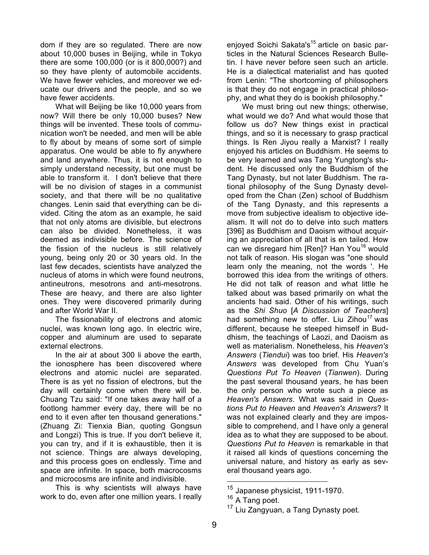dom if they are so regulated. There are now about 10,000 buses in Beijing, while in Tokyo there are some 100,000 (or is it 800,000?) and so they have plenty of automobile accidents. We have fewer vehicles, and moreover we educate our drivers and the people, and so we have fewer accidents.

What will Beijing be like 10,000 years from now? Will there be only 10,000 buses? New things will be invented. These tools of communication won't be needed, and men will be able to fly about by means of some sort of simple apparatus. One would be able to fly anywhere and land anywhere. Thus, it is not enough to simply understand necessity, but one must be able to transform it. I don't believe that there will be no division of stages in a communist society, and that there will be no qualitative changes. Lenin said that everything can be divided. Citing the atom as an example, he said that not only atoms are divisible, but electrons can also be divided. Nonetheless, it was deemed as indivisible before. The science of the fission of the nucleus is still relatively young, being only 20 or 30 years old. In the last few decades, scientists have analyzed the nucleus of atoms in which were found neutrons, antineutrons, mesotrons and anti-mesotrons. These are heavy, and there are also lighter ones. They were discovered primarily during and after World War II.

The fissionability of electrons and atomic nuclei, was known long ago. In electric wire, copper and aluminum are used to separate external electrons.

In the air at about 300 li above the earth, the ionosphere has been discovered where electrons and atomic nuclei are separated. There is as yet no fission of electrons, but the day will certainly come when there will be. Chuang Tzu said: "If one takes away half of a footlong hammer every day, there will be no end to it even after ten thousand generations." (Zhuang Zi: Tienxia Bian, quoting Gongsun and Longzi) This is true. If you don't believe it, you can try, and if it is exhaustible, then it is not science. Things are always developing, and this process goes on endlessly. Time and space are infinite. In space, both macrocosms and microcosms are infinite and indivisible.

This is why scientists will always have work to do, even after one million years. I really enjoyed Soichi Sakata's<sup>15</sup> article on basic particles in the Natural Sciences Research Bulletin. I have never before seen such an article. He is a dialectical materialist and has quoted from Lenin: "The shortcoming of philosophers is that they do not engage in practical philosophy, and what they do is bookish philosophy."

We must bring out new things; otherwise, what would we do? And what would those that follow us do? New things exist in practical things, and so it is necessary to grasp practical things. Is Ren Jiyou really a Marxist? I really enjoyed his articles on Buddhism. He seems to be very learned and was Tang Yungtong's student. He discussed only the Buddhism of the Tang Dynasty, but not later Buddhism. The rational philosophy of the Sung Dynasty developed from the Chan (Zen) school of Buddhism of the Tang Dynasty, and this represents a move from subjective idealism to objective idealism. It will not do to delve into such matters [396] as Buddhism and Daoism without acquiring an appreciation of all that is en tailed. How can we disregard him [Ren]? Han You<sup>16</sup> would not talk of reason. His slogan was "one should learn only the meaning, not the words '. He borrowed this idea from the writings of others. He did not talk of reason and what little he talked about was based primarily on what the ancients had said. Other of his writings, such as the *Shi Shuo* [*A Discussion of Teachers*] had something new to offer. Liu Zihou<sup>17</sup> was different, because he steeped himself in Buddhism, the teachings of Laozi, and Daoism as well as materialism. Nonetheless, his *Heaven's Answers* (*Tiendui*) was too brief. His *Heaven's Answers* was developed from Chu Yuan's *Questions Put To Heaven* (*Tianwen*). During the past several thousand years, he has been the only person who wrote such a piece as *Heaven's Answers*. What was said in *Questions Put to Heaven* and *Heaven's Answers*? It was not explained clearly and they are impossible to comprehend, and I have only a general idea as to what they are supposed to be about. *Questions Put to Heaven* is remarkable in that it raised all kinds of questions concerning the universal nature, and history as early as several thousand years ago. '

 $15$  Japanese physicist, 1911-1970.<br> $16$  A Tang poet.

<sup>&</sup>lt;sup>17</sup> Liu Zangyuan, a Tang Dynasty poet.